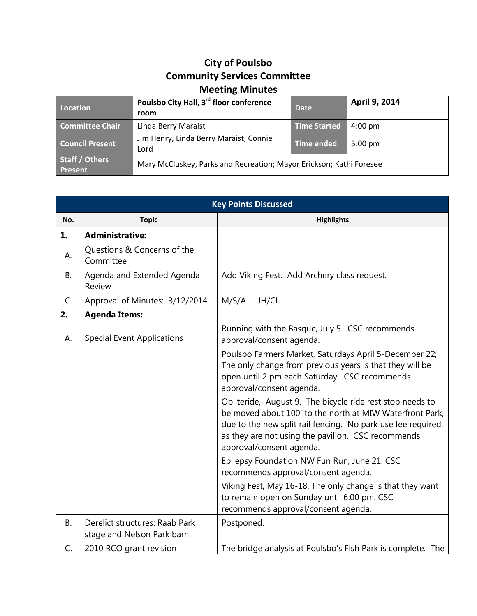## **City of Poulsbo Community Services Committee Meeting Minutes**

| Location                                | Poulsbo City Hall, 3 <sup>rd</sup> floor conference<br>room         | <b>Date</b>         | April 9, 2014     |
|-----------------------------------------|---------------------------------------------------------------------|---------------------|-------------------|
| <b>Committee Chair</b>                  | Linda Berry Maraist                                                 | <b>Time Started</b> | $4:00 \text{ pm}$ |
| <b>Council Present</b>                  | Jim Henry, Linda Berry Maraist, Connie<br>Lord                      | <b>Time ended</b>   | $5:00 \text{ pm}$ |
| <b>Staff / Others</b><br><b>Present</b> | Mary McCluskey, Parks and Recreation; Mayor Erickson; Kathi Foresee |                     |                   |

| <b>Key Points Discussed</b> |                                                              |                                                                                                                                                                                                                                                                                                                                                                                                                                                                         |  |  |
|-----------------------------|--------------------------------------------------------------|-------------------------------------------------------------------------------------------------------------------------------------------------------------------------------------------------------------------------------------------------------------------------------------------------------------------------------------------------------------------------------------------------------------------------------------------------------------------------|--|--|
| No.                         | <b>Topic</b>                                                 | <b>Highlights</b>                                                                                                                                                                                                                                                                                                                                                                                                                                                       |  |  |
| 1.                          | <b>Administrative:</b>                                       |                                                                                                                                                                                                                                                                                                                                                                                                                                                                         |  |  |
| А.                          | Questions & Concerns of the<br>Committee                     |                                                                                                                                                                                                                                                                                                                                                                                                                                                                         |  |  |
| <b>B.</b>                   | Agenda and Extended Agenda<br>Review                         | Add Viking Fest. Add Archery class request.                                                                                                                                                                                                                                                                                                                                                                                                                             |  |  |
| C.                          | Approval of Minutes: 3/12/2014                               | M/S/A<br>JH/CL                                                                                                                                                                                                                                                                                                                                                                                                                                                          |  |  |
| 2.                          | <b>Agenda Items:</b>                                         |                                                                                                                                                                                                                                                                                                                                                                                                                                                                         |  |  |
| А.                          | <b>Special Event Applications</b>                            | Running with the Basque, July 5. CSC recommends<br>approval/consent agenda.<br>Poulsbo Farmers Market, Saturdays April 5-December 22;<br>The only change from previous years is that they will be<br>open until 2 pm each Saturday. CSC recommends<br>approval/consent agenda.<br>Obliteride, August 9. The bicycle ride rest stop needs to<br>be moved about 100' to the north at MIW Waterfront Park,<br>due to the new split rail fencing. No park use fee required, |  |  |
|                             |                                                              | as they are not using the pavilion. CSC recommends<br>approval/consent agenda.<br>Epilepsy Foundation NW Fun Run, June 21. CSC                                                                                                                                                                                                                                                                                                                                          |  |  |
|                             |                                                              | recommends approval/consent agenda.                                                                                                                                                                                                                                                                                                                                                                                                                                     |  |  |
|                             |                                                              | Viking Fest, May 16-18. The only change is that they want<br>to remain open on Sunday until 6:00 pm. CSC<br>recommends approval/consent agenda.                                                                                                                                                                                                                                                                                                                         |  |  |
| <b>B.</b>                   | Derelict structures: Raab Park<br>stage and Nelson Park barn | Postponed.                                                                                                                                                                                                                                                                                                                                                                                                                                                              |  |  |
| C.                          | 2010 RCO grant revision                                      | The bridge analysis at Poulsbo's Fish Park is complete. The                                                                                                                                                                                                                                                                                                                                                                                                             |  |  |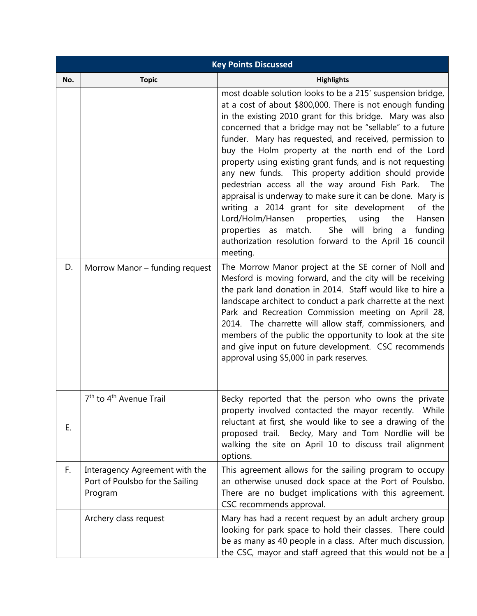| <b>Key Points Discussed</b> |                                                                              |                                                                                                                                                                                                                                                                                                                                                                                                                                                                                                                                                                                                                                                                                                                                                                                                                                                               |  |  |
|-----------------------------|------------------------------------------------------------------------------|---------------------------------------------------------------------------------------------------------------------------------------------------------------------------------------------------------------------------------------------------------------------------------------------------------------------------------------------------------------------------------------------------------------------------------------------------------------------------------------------------------------------------------------------------------------------------------------------------------------------------------------------------------------------------------------------------------------------------------------------------------------------------------------------------------------------------------------------------------------|--|--|
| No.                         | <b>Topic</b>                                                                 | <b>Highlights</b>                                                                                                                                                                                                                                                                                                                                                                                                                                                                                                                                                                                                                                                                                                                                                                                                                                             |  |  |
|                             |                                                                              | most doable solution looks to be a 215' suspension bridge,<br>at a cost of about \$800,000. There is not enough funding<br>in the existing 2010 grant for this bridge. Mary was also<br>concerned that a bridge may not be "sellable" to a future<br>funder. Mary has requested, and received, permission to<br>buy the Holm property at the north end of the Lord<br>property using existing grant funds, and is not requesting<br>any new funds. This property addition should provide<br>pedestrian access all the way around Fish Park. The<br>appraisal is underway to make sure it can be done. Mary is<br>writing a 2014 grant for site development<br>of the<br>Lord/Holm/Hansen<br>properties,<br>using<br>the<br>Hansen<br>She will bring a funding<br>properties as match.<br>authorization resolution forward to the April 16 council<br>meeting. |  |  |
| D.                          | Morrow Manor - funding request                                               | The Morrow Manor project at the SE corner of Noll and<br>Mesford is moving forward, and the city will be receiving<br>the park land donation in 2014. Staff would like to hire a<br>landscape architect to conduct a park charrette at the next<br>Park and Recreation Commission meeting on April 28,<br>2014. The charrette will allow staff, commissioners, and<br>members of the public the opportunity to look at the site<br>and give input on future development. CSC recommends<br>approval using \$5,000 in park reserves.                                                                                                                                                                                                                                                                                                                           |  |  |
| Е.                          | 7 <sup>th</sup> to 4 <sup>th</sup> Avenue Trail                              | Becky reported that the person who owns the private<br>property involved contacted the mayor recently. While<br>reluctant at first, she would like to see a drawing of the<br>proposed trail. Becky, Mary and Tom Nordlie will be<br>walking the site on April 10 to discuss trail alignment<br>options.                                                                                                                                                                                                                                                                                                                                                                                                                                                                                                                                                      |  |  |
| F.                          | Interagency Agreement with the<br>Port of Poulsbo for the Sailing<br>Program | This agreement allows for the sailing program to occupy<br>an otherwise unused dock space at the Port of Poulsbo.<br>There are no budget implications with this agreement.<br>CSC recommends approval.                                                                                                                                                                                                                                                                                                                                                                                                                                                                                                                                                                                                                                                        |  |  |
|                             | Archery class request                                                        | Mary has had a recent request by an adult archery group<br>looking for park space to hold their classes. There could<br>be as many as 40 people in a class. After much discussion,<br>the CSC, mayor and staff agreed that this would not be a                                                                                                                                                                                                                                                                                                                                                                                                                                                                                                                                                                                                                |  |  |